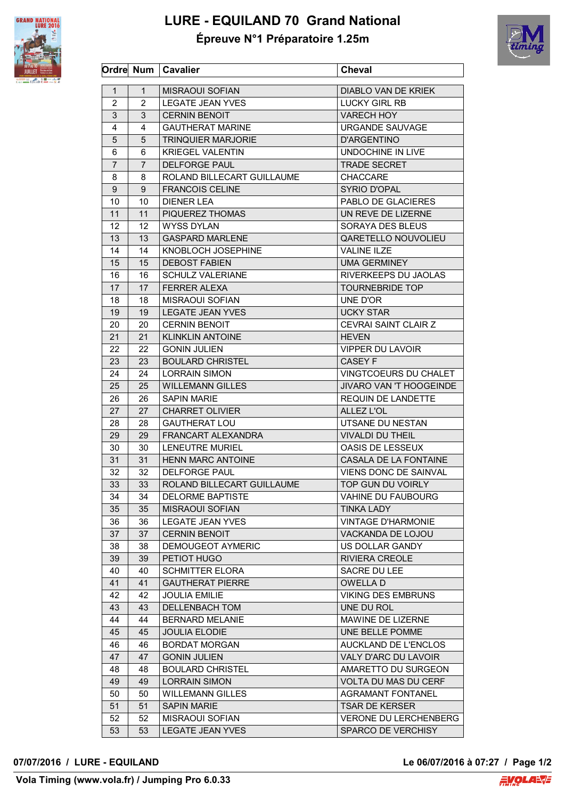

## **LURE - EQUILAND 70 Grand National Épreuve N°1 Préparatoire 1.25m**



|                |                | Ordre Num   Cavalier                            | <b>Cheval</b>                      |
|----------------|----------------|-------------------------------------------------|------------------------------------|
| $\mathbf{1}$   | 1              | <b>MISRAOUI SOFIAN</b>                          | DIABLO VAN DE KRIEK                |
| $\overline{c}$ | $\overline{2}$ | <b>LEGATE JEAN YVES</b>                         | <b>LUCKY GIRL RB</b>               |
| 3              | 3              | <b>CERNIN BENOIT</b>                            | <b>VARECH HOY</b>                  |
| 4              | 4              | <b>GAUTHERAT MARINE</b>                         | URGANDE SAUVAGE                    |
| 5              | 5              | <b>TRINQUIER MARJORIE</b>                       | <b>D'ARGENTINO</b>                 |
| 6              | 6              | <b>KRIEGEL VALENTIN</b>                         | UNDOCHINE IN LIVE                  |
| 7              | $\overline{7}$ | <b>DELFORGE PAUL</b>                            | <b>TRADE SECRET</b>                |
| 8              | 8              | ROLAND BILLECART GUILLAUME                      | <b>CHACCARE</b>                    |
| 9              | 9              | <b>FRANCOIS CELINE</b>                          | <b>SYRIO D'OPAL</b>                |
| 10             | 10             | <b>DIENER LEA</b>                               | PABLO DE GLACIERES                 |
| 11             | 11             | PIQUEREZ THOMAS                                 | UN REVE DE LIZERNE                 |
| 12             | 12             | <b>WYSS DYLAN</b>                               | SORAYA DES BLEUS                   |
| 13             | 13             | <b>GASPARD MARLENE</b>                          | QARETELLO NOUVOLIEU                |
| 14             | 14             | KNOBLOCH JOSEPHINE                              | <b>VALINE ILZE</b>                 |
| 15             | 15             | <b>DEBOST FABIEN</b>                            | <b>UMA GERMINEY</b>                |
|                | 16             | <b>SCHULZ VALERIANE</b>                         |                                    |
| 16             |                |                                                 | RIVERKEEPS DU JAOLAS               |
| 17             | 17             | <b>FERRER ALEXA</b><br><b>MISRAOUI SOFIAN</b>   | <b>TOURNEBRIDE TOP</b><br>UNE D'OR |
| 18             | 18             |                                                 |                                    |
| 19             | 19             | <b>LEGATE JEAN YVES</b><br><b>CERNIN BENOIT</b> | <b>UCKY STAR</b>                   |
| 20             | 20             |                                                 | CEVRAI SAINT CLAIR Z               |
| 21             | 21             | <b>KLINKLIN ANTOINE</b>                         | <b>HEVEN</b>                       |
| 22             | 22             | <b>GONIN JULIEN</b>                             | <b>VIPPER DU LAVOIR</b>            |
| 23             | 23             | <b>BOULARD CHRISTEL</b>                         | CASEY F                            |
| 24             | 24             | <b>LORRAIN SIMON</b>                            | VINGTCOEURS DU CHALET              |
| 25             | 25             | <b>WILLEMANN GILLES</b>                         | JIVARO VAN 'T HOOGEINDE            |
| 26             | 26             | <b>SAPIN MARIE</b>                              | REQUIN DE LANDETTE                 |
| 27             | 27             | <b>CHARRET OLIVIER</b>                          | ALLEZ L'OL                         |
| 28             | 28             | <b>GAUTHERAT LOU</b>                            | UTSANE DU NESTAN                   |
| 29             | 29             | FRANCART ALEXANDRA                              | <b>VIVALDI DU THEIL</b>            |
| 30             | 30             | <b>LENEUTRE MURIEL</b>                          | OASIS DE LESSEUX                   |
| 31             | 31             | HENN MARC ANTOINE                               | CASALA DE LA FONTAINE              |
| 32             | 32.            | <b>DELFORGE PAUL</b>                            | <b>VIENS DONC DE SAINVAL</b>       |
| 33             | 33             | ROLAND BILLECART GUILLAUME                      | TOP GUN DU VOIRLY                  |
| 34             | 34             | <b>DELORME BAPTISTE</b>                         | <b>VAHINE DU FAUBOURG</b>          |
| 35             | 35             | <b>MISRAOUI SOFIAN</b>                          | <b>TINKA LADY</b>                  |
| 36             | 36             | <b>LEGATE JEAN YVES</b>                         | <b>VINTAGE D'HARMONIE</b>          |
| 37             | 37             | <b>CERNIN BENOIT</b>                            | VACKANDA DE LOJOU                  |
| 38             | 38             | <b>DEMOUGEOT AYMERIC</b>                        | US DOLLAR GANDY                    |
| 39             | 39             | PETIOT HUGO                                     | RIVIERA CREOLE                     |
| 40             | 40             | <b>SCHMITTER ELORA</b>                          | SACRE DU LEE                       |
| 41             | 41             | <b>GAUTHERAT PIERRE</b>                         | <b>OWELLAD</b>                     |
| 42             | 42             | <b>JOULIA EMILIE</b>                            | <b>VIKING DES EMBRUNS</b>          |
| 43             | 43             | <b>DELLENBACH TOM</b>                           | UNE DU ROL                         |
| 44             | 44             | <b>BERNARD MELANIE</b>                          | MAWINE DE LIZERNE                  |
| 45             | 45             | <b>JOULIA ELODIE</b>                            | UNE BELLE POMME                    |
| 46             | 46             | <b>BORDAT MORGAN</b>                            | AUCKLAND DE L'ENCLOS               |
| 47             | 47             | <b>GONIN JULIEN</b>                             | VALY D'ARC DU LAVOIR               |
| 48             | 48             | <b>BOULARD CHRISTEL</b>                         | AMARETTO DU SURGEON                |
| 49             | 49             | <b>LORRAIN SIMON</b>                            | <b>VOLTA DU MAS DU CERF</b>        |
| 50             | 50             | <b>WILLEMANN GILLES</b>                         | <b>AGRAMANT FONTANEL</b>           |
| 51             | 51             | <b>SAPIN MARIE</b>                              | <b>TSAR DE KERSER</b>              |
| 52             | 52             | <b>MISRAOUI SOFIAN</b>                          | <b>VERONE DU LERCHENBERG</b>       |
| 53             | 53             | <b>LEGATE JEAN YVES</b>                         | SPARCO DE VERCHISY                 |